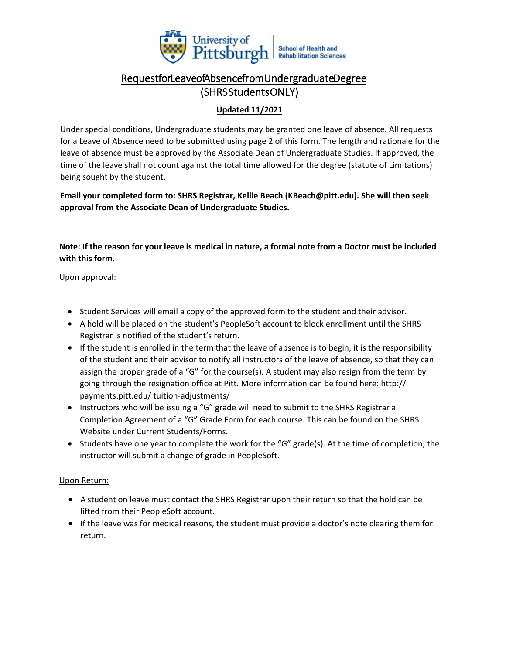

# RequestforLeaveofAbsencefromUndergraduateDegree (SHRS Students ONLY)

### **Updated 11/2021**

Under special conditions, Undergraduate students may be granted one leave of absence. All requests for a Leave of Absence need to be submitted using page 2 of this form. The length and rationale for the leave of absence must be approved by the Associate Dean of Undergraduate Studies. If approved, the time of the leave shall not count against the total time allowed for the degree (statute of Limitations) being sought by the student.

**Email your completed form to: SHRS Registrar, Kellie Beach (KBeach@pitt.edu). She will then seek approval from the Associate Dean of Undergraduate Studies.**

**Note: If the reason for your leave is medical in nature, a formal note from a Doctor must be included with this form.** 

#### Upon approval:

- Student Services will email a copy of the approved form to the student and their advisor.
- A hold will be placed on the student's PeopleSoft account to block enrollment until the SHRS Registrar is notified of the student's return.
- If the student is enrolled in the term that the leave of absence is to begin, it is the responsibility of the student and their advisor to notify all instructors of the leave of absence, so that they can assign the proper grade of a "G" for the course(s). A student may also resign from the term by going through the resignation office at Pitt. More information can be found here: http:// payments.pitt.edu/ tuition-adjustments/
- Instructors who will be issuing a "G" grade will need to submit to the SHRS Registrar a Completion Agreement of a "G" Grade Form for each course. This can be found on the SHRS Website under Current Students/Forms.
- Students have one year to complete the work for the "G" grade(s). At the time of completion, the instructor will submit a change of grade in PeopleSoft.

#### Upon Return:

- A student on leave must contact the SHRS Registrar upon their return so that the hold can be lifted from their PeopleSoft account.
- If the leave was for medical reasons, the student must provide a doctor's note clearing them for return.